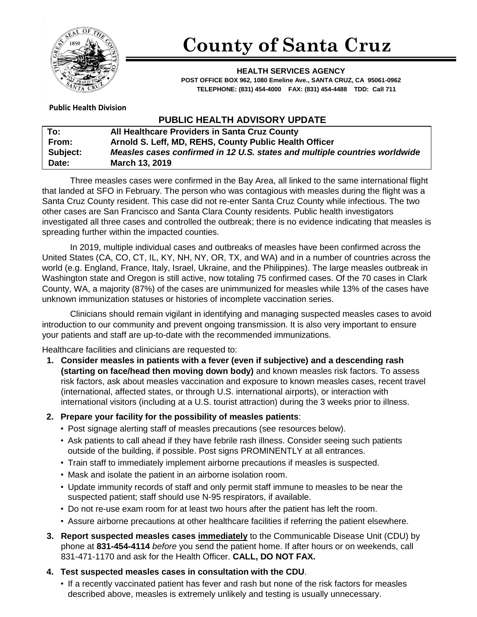

# **County of Santa Cruz**

**HEALTH SERVICES AGENCY POST OFFICE BOX 962, 1080 Emeline Ave., SANTA CRUZ, CA 95061-0962 TELEPHONE: (831) 454-4000 FAX: (831) 454-4488 TDD: Call 711**

### **Public Health Division**

## **PUBLIC HEALTH ADVISORY UPDATE**

| To:             | All Healthcare Providers in Santa Cruz County                              |
|-----------------|----------------------------------------------------------------------------|
| From:           | Arnold S. Leff, MD, REHS, County Public Health Officer                     |
| <b>Subject:</b> | Measles cases confirmed in 12 U.S. states and multiple countries worldwide |
| Date:           | <b>March 13, 2019</b>                                                      |

Three measles cases were confirmed in the Bay Area, all linked to the same international flight that landed at SFO in February. The person who was contagious with measles during the flight was a Santa Cruz County resident. This case did not re-enter Santa Cruz County while infectious. The two other cases are San Francisco and Santa Clara County residents. Public health investigators investigated all three cases and controlled the outbreak; there is no evidence indicating that measles is spreading further within the impacted counties.

In 2019, multiple individual cases and outbreaks of measles have been confirmed across the United States (CA, CO, CT, IL, KY, NH, NY, OR, TX, and WA) and in a number of countries across the world (e.g. England, France, Italy, Israel, Ukraine, and the Philippines). The large measles outbreak in Washington state and Oregon is still active, now totaling 75 confirmed cases. Of the 70 cases in Clark County, WA, a majority (87%) of the cases are unimmunized for measles while 13% of the cases have unknown immunization statuses or histories of incomplete vaccination series.

Clinicians should remain vigilant in identifying and managing suspected measles cases to avoid introduction to our community and prevent ongoing transmission. It is also very important to ensure your patients and staff are up-to-date with the recommended immunizations.

Healthcare facilities and clinicians are requested to:

**1. Consider measles in patients with a fever (even if subjective) and a descending rash (starting on face/head then moving down body)** and known measles risk factors. To assess risk factors, ask about measles vaccination and exposure to known measles cases, recent travel (international, affected states, or through U.S. international airports), or interaction with international visitors (including at a U.S. tourist attraction) during the 3 weeks prior to illness.

### **2. Prepare your facility for the possibility of measles patients**:

- [Post](http://eziz.org/assets/docs/IMM-908.pdf) signage alerting staff of measles precautions (see resources below).
- Ask patients to call ahead if they have febrile rash illness. Consider seeing such patients outside of the building, if possible. Post signs PROMINENTLY at all entrances.
- Train staff to immediately implement airborne precautions if measles is suspected.
- Mask and isolate the patient in an airborne isolation room.
- Update immunity records of staff and only permit staff immune to measles to be near the suspected patient; staff should use N-95 respirators, if available.
- Do not re-use exam room for at least two hours after the patient has left the room.
- Assure airborne precautions at other healthcare facilities if referring the patient elsewhere.
- **3. Report suspected measles cases immediately** to the Communicable Disease Unit (CDU) by phone at **831-454-4114** *before* you send the patient home. If after hours or on weekends, call 831-471-1170 and ask for the Health Officer. **CALL, DO NOT FAX.**
- **4. Test suspected measles cases in consultation with the CDU**.
	- If a recently vaccinated patient has fever and rash but none of the risk factors for measles described above, measles is extremely unlikely and testing is usually unnecessary.